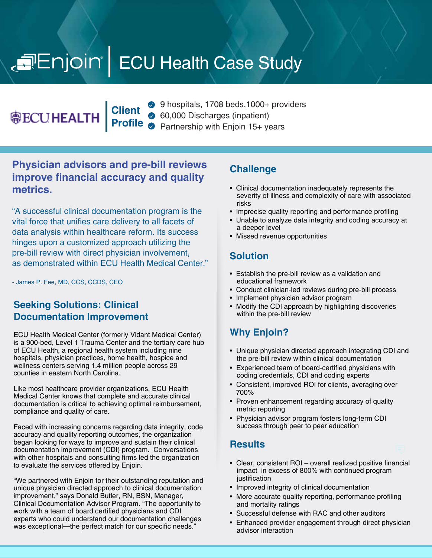# Enjoin | ECU Health Case Study

**@ECUHEALTH** 

**Client Profile**

9 hospitals, 1708 beds, 1000+ providers 60,000 Discharges (inpatient) Partnership with Enjoin 15+ years

### **Physician advisors and pre-bill reviews improve financial accuracy and quality metrics.**

"A successful clinical documentation program is the vital force that unifies care delivery to all facets of data analysis within healthcare reform. Its success hinges upon a customized approach utilizing the pre-bill review with direct physician involvement, as demonstrated within ECU Health Medical Center."

- James P. Fee, MD, CCS, CCDS, CEO

#### **Seeking Solutions: Clinical Documentation Improvement**

ECU Health Medical Center (formerly Vidant Medical Center) is a 900-bed, Level 1 Trauma Center and the tertiary care hub of ECU Health, a regional health system including nine hospitals, physician practices, home health, hospice and wellness centers serving 1.4 million people across 29 counties in eastern North Carolina.

Like most healthcare provider organizations, ECU Health Medical Center knows that complete and accurate clinical documentation is critical to achieving optimal reimbursement, compliance and quality of care.

Faced with increasing concerns regarding data integrity, code accuracy and quality reporting outcomes, the organization began looking for ways to improve and sustain their clinical documentation improvement (CDI) program. Conversations with other hospitals and consulting firms led the organization to evaluate the services offered by Enjoin.

"We partnered with Enjoin for their outstanding reputation and unique physician directed approach to clinical documentation improvement," says Donald Butler, RN, BSN, Manager, Clinical Documentation Advisor Program. "The opportunity to work with a team of board certified physicians and CDI experts who could understand our documentation challenges was exceptional—the perfect match for our specific needs."

#### **Challenge**

- Clinical documentation inadequately represents the severity of illness and complexity of care with associated risks
- Imprecise quality reporting and performance profiling
- Unable to analyze data integrity and coding accuracy at a deeper level
- Missed revenue opportunities

#### **Solution**

- Establish the pre-bill review as a validation and educational framework
- Conduct clinician-led reviews during pre-bill process
- Implement physician advisor program
- Modify the CDI approach by highlighting discoveries within the pre-bill review

# **Why Enjoin?**

- Unique physician directed approach integrating CDI and the pre-bill review within clinical documentation
- Experienced team of board-certified physicians with coding credentials, CDI and coding experts
- Consistent, improved ROI for clients, averaging over 700%
- Proven enhancement regarding accuracy of quality metric reporting
- Physician advisor program fosters long-term CDI success through peer to peer education

#### **Results**

- Clear, consistent ROI overall realized positive financial impact in excess of 800% with continued program iustification
- Improved integrity of clinical documentation
- More accurate quality reporting, performance profiling and mortality ratings
- Successful defense with RAC and other auditors
- Enhanced provider engagement through direct physician advisor interaction